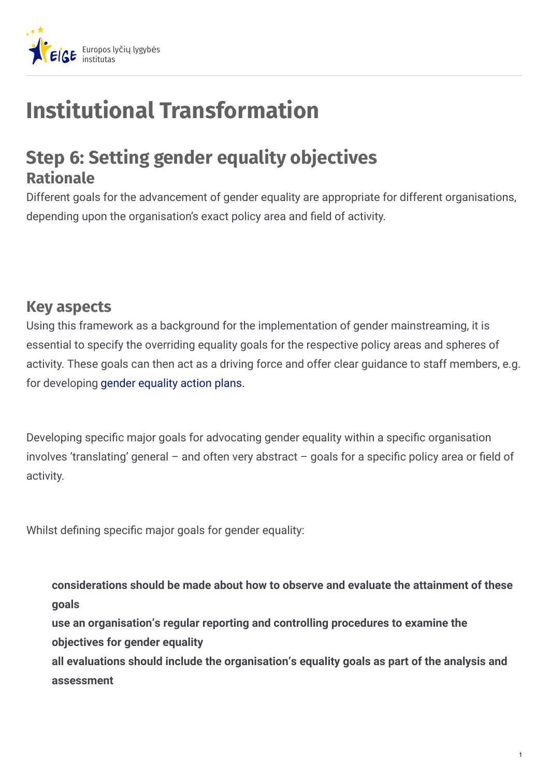

## **Institutional Transformation**

## **Step 6: Setting gender equality objectives Rationale**

Different goals for the advancement of gender equality are appropriate for different organisations, depending upon the organisation's exact policy area and field of activity.

## **Key aspects**

Using this framework as a background for the implementation of gender mainstreaming, it is essential to specify the overriding equality goals for the respective policy areas and spheres of activity. These goals can then act as a driving force and offer clear guidance to staff members, e.g. for developing gender [equality](https://eige.europa.eu/gender-mainstreaming/tools-and-methods/gender-mainstreaming-and-institutional-transformation/step-11-launching-gender-equality-action-plans) action plans.

Developing specific major goals for advocating gender equality within a specific organisation involves 'translating' general – and often very abstract – goals for a specific policy area or field of activity.

Whilst defining specific major goals for gender equality:

**considerations should be made about how to observe and evaluate the attainment of these goals use an organisation's regular reporting and controlling procedures to examine the objectives for gender equality**

**all evaluations should include the organisation's equality goals as part of the analysis and assessment**